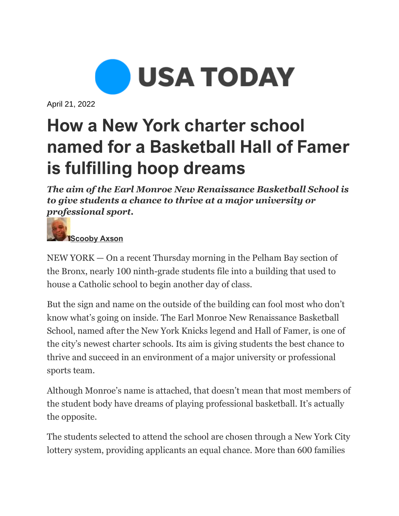

April 21, 2022

## **How a New York charter school named for a Basketball Hall of Famer is fulfilling hoop dreams**

*The aim of the Earl Monroe New Renaissance Basketball School is to give students a chance to thrive at a major university or professional sport.*



NEW YORK — On a recent Thursday morning in the Pelham Bay section of the Bronx, nearly 100 ninth-grade students file into a building that used to house a Catholic school to begin another day of class.

But the sign and name on the outside of the building can fool most who don't know what's going on inside. The Earl Monroe New Renaissance Basketball School, named after the New York Knicks legend and Hall of Famer, is one of the city's newest charter schools. Its aim is giving students the best chance to thrive and succeed in an environment of a major university or professional sports team.

Although Monroe's name is attached, that doesn't mean that most members of the student body have dreams of playing professional basketball. It's actually the opposite.

The students selected to attend the school are chosen through a New York City lottery system, providing applicants an equal chance. More than 600 families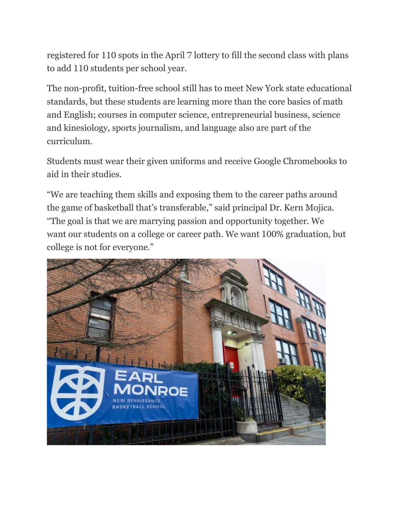registered for 110 spots in the April 7 lottery to fill the second class with plans to add 110 students per school year.

The non-profit, tuition-free school still has to meet New York state educational standards, but these students are learning more than the core basics of math and English; courses in computer science, entrepreneurial business, science and kinesiology, sports journalism, and language also are part of the curriculum.

Students must wear their given uniforms and receive Google Chromebooks to aid in their studies.

"We are teaching them skills and exposing them to the career paths around the game of basketball that's transferable," said principal Dr. Kern Mojica. "The goal is that we are marrying passion and opportunity together. We want our students on a college or career path. We want 100% graduation, but college is not for everyone."

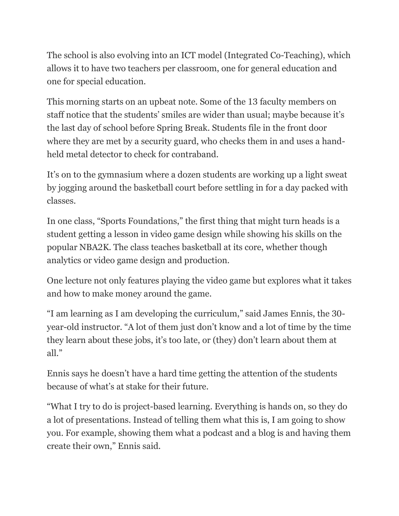The school is also evolving into an ICT model (Integrated Co-Teaching), which allows it to have two teachers per classroom, one for general education and one for special education.

This morning starts on an upbeat note. Some of the 13 faculty members on staff notice that the students' smiles are wider than usual; maybe because it's the last day of school before Spring Break. Students file in the front door where they are met by a security guard, who checks them in and uses a handheld metal detector to check for contraband.

It's on to the gymnasium where a dozen students are working up a light sweat by jogging around the basketball court before settling in for a day packed with classes.

In one class, "Sports Foundations," the first thing that might turn heads is a student getting a lesson in video game design while showing his skills on the popular NBA2K. The class teaches basketball at its core, whether though analytics or video game design and production.

One lecture not only features playing the video game but explores what it takes and how to make money around the game.

"I am learning as I am developing the curriculum," said James Ennis, the 30 year-old instructor. "A lot of them just don't know and a lot of time by the time they learn about these jobs, it's too late, or (they) don't learn about them at all."

Ennis says he doesn't have a hard time getting the attention of the students because of what's at stake for their future.

"What I try to do is project-based learning. Everything is hands on, so they do a lot of presentations. Instead of telling them what this is, I am going to show you. For example, showing them what a podcast and a blog is and having them create their own," Ennis said.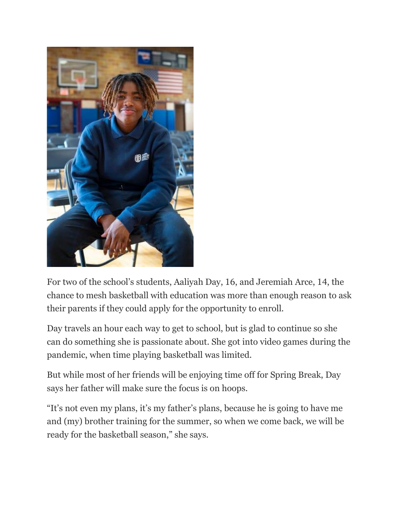

For two of the school's students, Aaliyah Day, 16, and Jeremiah Arce, 14, the chance to mesh basketball with education was more than enough reason to ask their parents if they could apply for the opportunity to enroll.

Day travels an hour each way to get to school, but is glad to continue so she can do something she is passionate about. She got into video games during the pandemic, when time playing basketball was limited.

But while most of her friends will be enjoying time off for Spring Break, Day says her father will make sure the focus is on hoops.

"It's not even my plans, it's my father's plans, because he is going to have me and (my) brother training for the summer, so when we come back, we will be ready for the basketball season," she says.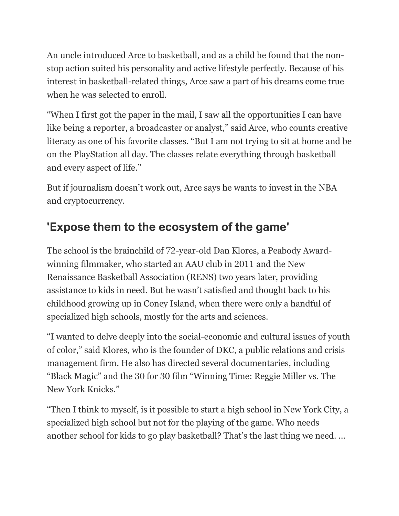An uncle introduced Arce to basketball, and as a child he found that the nonstop action suited his personality and active lifestyle perfectly. Because of his interest in basketball-related things, Arce saw a part of his dreams come true when he was selected to enroll.

"When I first got the paper in the mail, I saw all the opportunities I can have like being a reporter, a broadcaster or analyst," said Arce, who counts creative literacy as one of his favorite classes. "But I am not trying to sit at home and be on the PlayStation all day. The classes relate everything through basketball and every aspect of life."

But if journalism doesn't work out, Arce says he wants to invest in the NBA and cryptocurrency.

## **'Expose them to the ecosystem of the game'**

The school is the brainchild of 72-year-old Dan Klores, a Peabody Awardwinning filmmaker, who started an AAU club in 2011 and the New Renaissance Basketball Association (RENS) two years later, providing assistance to kids in need. But he wasn't satisfied and thought back to his childhood growing up in Coney Island, when there were only a handful of specialized high schools, mostly for the arts and sciences.

"I wanted to delve deeply into the social-economic and cultural issues of youth of color," said Klores, who is the founder of DKC, a public relations and crisis management firm. He also has directed several documentaries, including "Black Magic" and the 30 for 30 film "Winning Time: Reggie Miller vs. The New York Knicks."

"Then I think to myself, is it possible to start a high school in New York City, a specialized high school but not for the playing of the game. Who needs another school for kids to go play basketball? That's the last thing we need. ...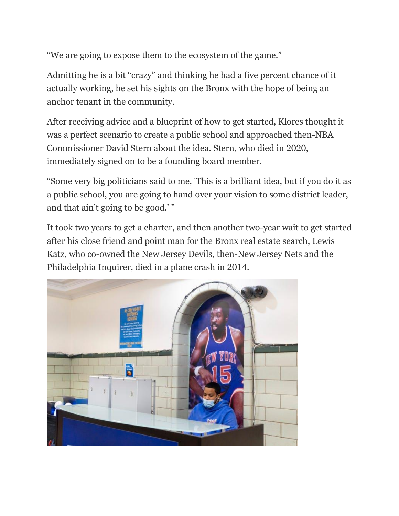"We are going to expose them to the ecosystem of the game."

Admitting he is a bit "crazy" and thinking he had a five percent chance of it actually working, he set his sights on the Bronx with the hope of being an anchor tenant in the community.

After receiving advice and a blueprint of how to get started, Klores thought it was a perfect scenario to create a public school and approached then-NBA Commissioner David Stern about the idea. Stern, who died in 2020, immediately signed on to be a founding board member.

"Some very big politicians said to me, 'This is a brilliant idea, but if you do it as a public school, you are going to hand over your vision to some district leader, and that ain't going to be good.' "

It took two years to get a charter, and then another two-year wait to get started after his close friend and point man for the Bronx real estate search, Lewis Katz, who co-owned the New Jersey Devils, then-New Jersey Nets and the Philadelphia Inquirer, died in a plane crash in 2014.

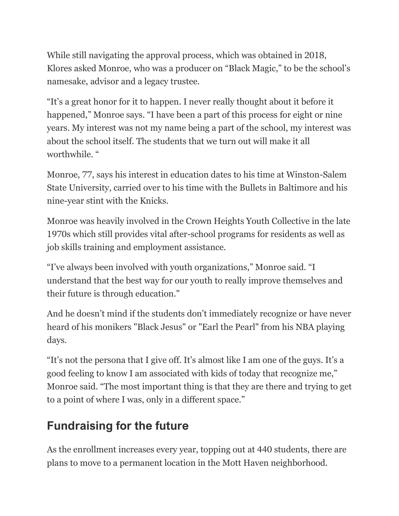While still navigating the approval process, which was obtained in 2018, Klores asked Monroe, who was a producer on "Black Magic," to be the school's namesake, advisor and a legacy trustee.

"It's a great honor for it to happen. I never really thought about it before it happened," Monroe says. "I have been a part of this process for eight or nine years. My interest was not my name being a part of the school, my interest was about the school itself. The students that we turn out will make it all worthwhile. "

Monroe, 77, says his interest in education dates to his time at Winston-Salem State University, carried over to his time with the Bullets in Baltimore and his nine-year stint with the Knicks.

Monroe was heavily involved in the Crown Heights Youth Collective in the late 1970s which still provides vital after-school programs for residents as well as job skills training and employment assistance.

"I've always been involved with youth organizations," Monroe said. "I understand that the best way for our youth to really improve themselves and their future is through education."

And he doesn't mind if the students don't immediately recognize or have never heard of his monikers "Black Jesus" or "Earl the Pearl" from his NBA playing days.

"It's not the persona that I give off. It's almost like I am one of the guys. It's a good feeling to know I am associated with kids of today that recognize me," Monroe said. "The most important thing is that they are there and trying to get to a point of where I was, only in a different space."

## **Fundraising for the future**

As the enrollment increases every year, topping out at 440 students, there are plans to move to a permanent location in the Mott Haven neighborhood.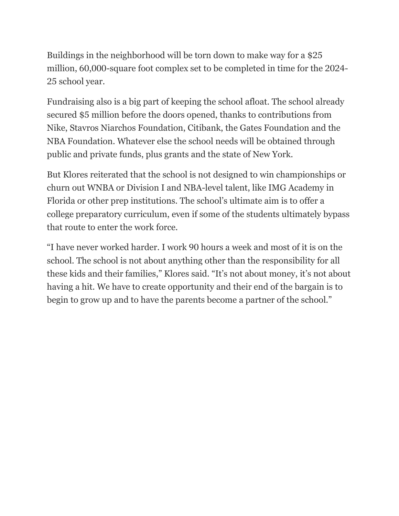Buildings in the neighborhood will be torn down to make way for a \$25 million, 60,000-square foot complex set to be completed in time for the 2024- 25 school year.

Fundraising also is a big part of keeping the school afloat. The school already secured \$5 million before the doors opened, thanks to contributions from Nike, Stavros Niarchos Foundation, Citibank, the Gates Foundation and the NBA Foundation. Whatever else the school needs will be obtained through public and private funds, plus grants and the state of New York.

But Klores reiterated that the school is not designed to win championships or churn out WNBA or Division I and NBA-level talent, like IMG Academy in Florida or other prep institutions. The school's ultimate aim is to offer a college preparatory curriculum, even if some of the students ultimately bypass that route to enter the work force.

"I have never worked harder. I work 90 hours a week and most of it is on the school. The school is not about anything other than the responsibility for all these kids and their families," Klores said. "It's not about money, it's not about having a hit. We have to create opportunity and their end of the bargain is to begin to grow up and to have the parents become a partner of the school."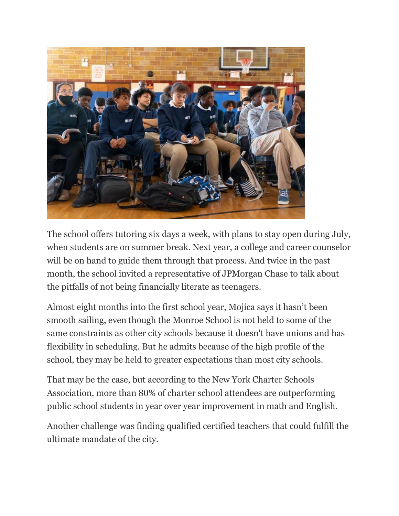

The school offers tutoring six days a week, with plans to stay open during July, when students are on summer break. Next year, a college and career counselor will be on hand to guide them through that process. And twice in the past month, the school invited a representative of JPMorgan Chase to talk about the pitfalls of not being financially literate as teenagers.

Almost eight months into the first school year, Mojica says it hasn't been smooth sailing, even though the Monroe School is not held to some of the same constraints as other city schools because it doesn't have unions and has flexibility in scheduling. But he admits because of the high profile of the school, they may be held to greater expectations than most city schools.

That may be the case, but according to the New York Charter Schools Association, more than 80% of charter school attendees are outperforming public school students in year over year improvement in math and English.

Another challenge was finding qualified certified teachers that could fulfill the ultimate mandate of the city.